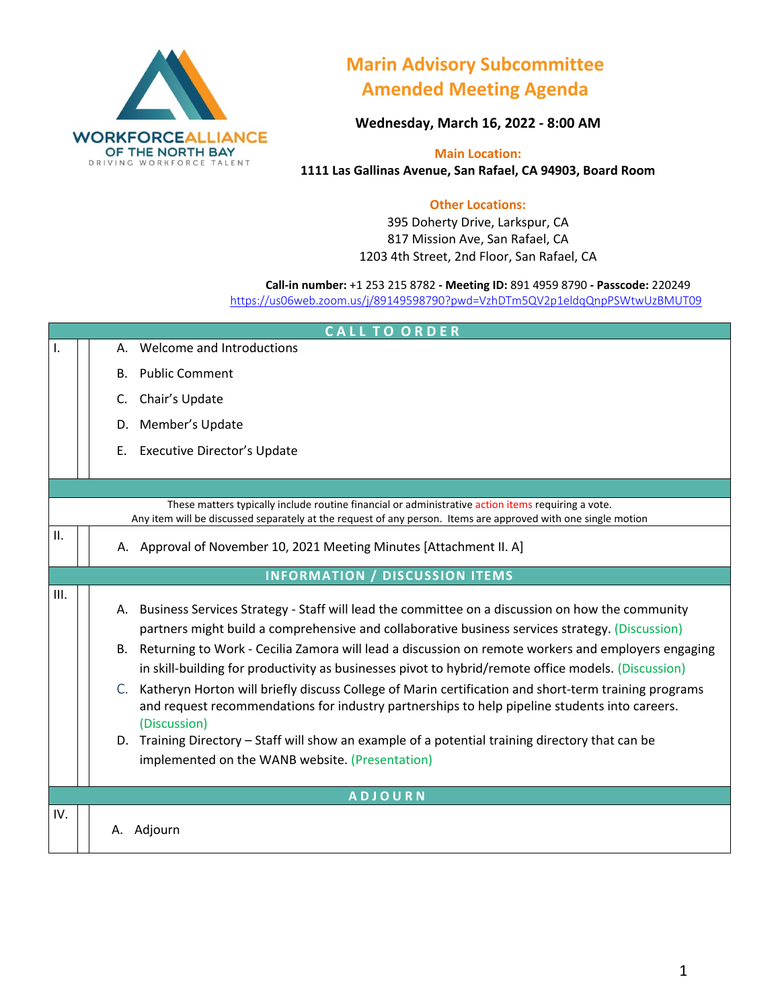

## **Marin Advisory Subcommittee Amended Meeting Agenda**

**Wednesday, March 16, 2022 - 8:00 AM**

**Main Location: 1111 Las Gallinas Avenue, San Rafael, CA 94903, Board Room**

## **Other Locations:**

395 Doherty Drive, Larkspur, CA 817 Mission Ave, San Rafael, CA 1203 4th Street, 2nd Floor, San Rafael, CA

**Call-in number:** +1 253 215 8782 **- Meeting ID:** 891 4959 8790 **- Passcode:** 220249 <https://us06web.zoom.us/j/89149598790?pwd=VzhDTm5QV2p1eldqQnpPSWtwUzBMUT09>

| <b>CALLTOORDER</b> |    |                                                                                                                                                                                                                                                                                                                                                                                                                                                                                                                                                                                                                                                                                                                                                                                                          |  |  |
|--------------------|----|----------------------------------------------------------------------------------------------------------------------------------------------------------------------------------------------------------------------------------------------------------------------------------------------------------------------------------------------------------------------------------------------------------------------------------------------------------------------------------------------------------------------------------------------------------------------------------------------------------------------------------------------------------------------------------------------------------------------------------------------------------------------------------------------------------|--|--|
| $\mathbf{I}$ .     |    | Welcome and Introductions                                                                                                                                                                                                                                                                                                                                                                                                                                                                                                                                                                                                                                                                                                                                                                                |  |  |
|                    | В. | <b>Public Comment</b>                                                                                                                                                                                                                                                                                                                                                                                                                                                                                                                                                                                                                                                                                                                                                                                    |  |  |
|                    | C. | Chair's Update                                                                                                                                                                                                                                                                                                                                                                                                                                                                                                                                                                                                                                                                                                                                                                                           |  |  |
|                    | D. | Member's Update                                                                                                                                                                                                                                                                                                                                                                                                                                                                                                                                                                                                                                                                                                                                                                                          |  |  |
|                    | Ε. | <b>Executive Director's Update</b>                                                                                                                                                                                                                                                                                                                                                                                                                                                                                                                                                                                                                                                                                                                                                                       |  |  |
|                    |    |                                                                                                                                                                                                                                                                                                                                                                                                                                                                                                                                                                                                                                                                                                                                                                                                          |  |  |
|                    |    | These matters typically include routine financial or administrative action items requiring a vote.<br>Any item will be discussed separately at the request of any person. Items are approved with one single motion                                                                                                                                                                                                                                                                                                                                                                                                                                                                                                                                                                                      |  |  |
| $\mathbf{II}$ .    |    | A. Approval of November 10, 2021 Meeting Minutes [Attachment II. A]                                                                                                                                                                                                                                                                                                                                                                                                                                                                                                                                                                                                                                                                                                                                      |  |  |
|                    |    | <b>INFORMATION / DISCUSSION ITEMS</b>                                                                                                                                                                                                                                                                                                                                                                                                                                                                                                                                                                                                                                                                                                                                                                    |  |  |
| III.               |    | A. Business Services Strategy - Staff will lead the committee on a discussion on how the community<br>partners might build a comprehensive and collaborative business services strategy. (Discussion)<br>B. Returning to Work - Cecilia Zamora will lead a discussion on remote workers and employers engaging<br>in skill-building for productivity as businesses pivot to hybrid/remote office models. (Discussion)<br>C. Katheryn Horton will briefly discuss College of Marin certification and short-term training programs<br>and request recommendations for industry partnerships to help pipeline students into careers.<br>(Discussion)<br>D. Training Directory - Staff will show an example of a potential training directory that can be<br>implemented on the WANB website. (Presentation) |  |  |
| <b>ADJOURN</b>     |    |                                                                                                                                                                                                                                                                                                                                                                                                                                                                                                                                                                                                                                                                                                                                                                                                          |  |  |
| IV.                | А. | Adjourn                                                                                                                                                                                                                                                                                                                                                                                                                                                                                                                                                                                                                                                                                                                                                                                                  |  |  |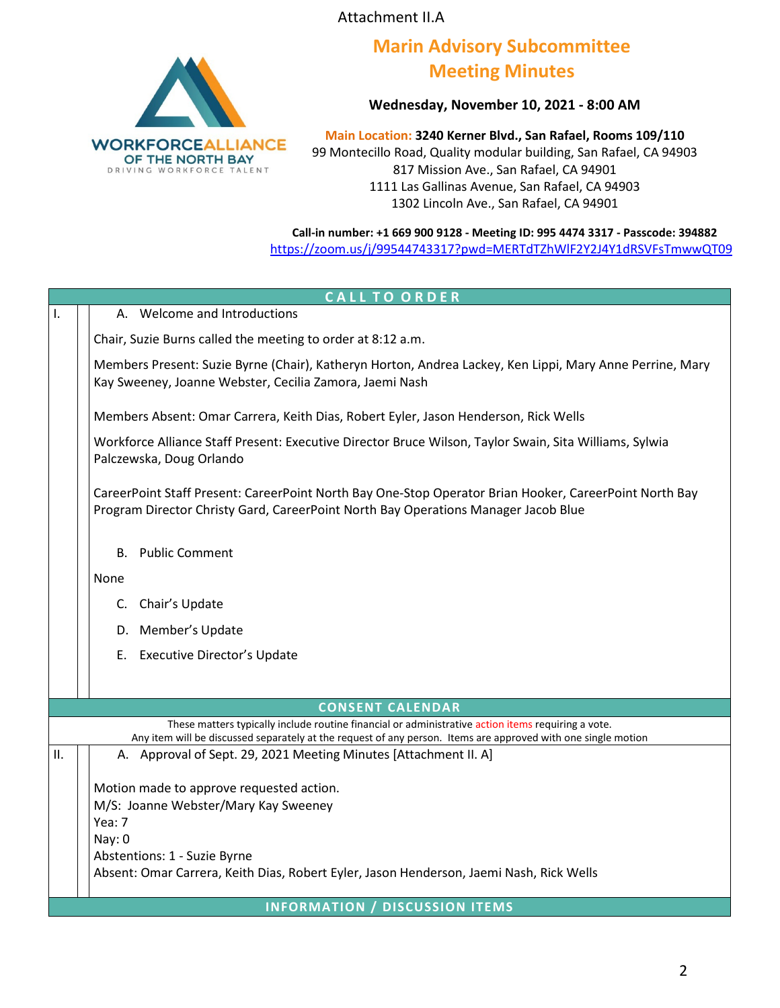Attachment II.A



## **Marin Advisory Subcommittee Meeting Minutes**

**Wednesday, November 10, 2021 - 8:00 AM**

**Main Location: 3240 Kerner Blvd., San Rafael, Rooms 109/110** 99 Montecillo Road, Quality modular building, San Rafael, CA 94903 817 Mission Ave., San Rafael, CA 94901 1111 Las Gallinas Avenue, San Rafael, CA 94903 1302 Lincoln Ave., San Rafael, CA 94901

**Call-in number: +1 669 900 9128 - Meeting ID: 995 4474 3317 - Passcode: 394882** <https://zoom.us/j/99544743317?pwd=MERTdTZhWlF2Y2J4Y1dRSVFsTmwwQT09>

| <b>CALL TO ORDER</b>    |                                                                                                                                                                                              |  |  |  |
|-------------------------|----------------------------------------------------------------------------------------------------------------------------------------------------------------------------------------------|--|--|--|
| $\mathbf{I}$ .          | A. Welcome and Introductions                                                                                                                                                                 |  |  |  |
|                         | Chair, Suzie Burns called the meeting to order at 8:12 a.m.                                                                                                                                  |  |  |  |
|                         | Members Present: Suzie Byrne (Chair), Katheryn Horton, Andrea Lackey, Ken Lippi, Mary Anne Perrine, Mary<br>Kay Sweeney, Joanne Webster, Cecilia Zamora, Jaemi Nash                          |  |  |  |
|                         | Members Absent: Omar Carrera, Keith Dias, Robert Eyler, Jason Henderson, Rick Wells                                                                                                          |  |  |  |
|                         | Workforce Alliance Staff Present: Executive Director Bruce Wilson, Taylor Swain, Sita Williams, Sylwia<br>Palczewska, Doug Orlando                                                           |  |  |  |
|                         | CareerPoint Staff Present: CareerPoint North Bay One-Stop Operator Brian Hooker, CareerPoint North Bay<br>Program Director Christy Gard, CareerPoint North Bay Operations Manager Jacob Blue |  |  |  |
|                         | <b>B.</b> Public Comment                                                                                                                                                                     |  |  |  |
|                         | None                                                                                                                                                                                         |  |  |  |
|                         | C. Chair's Update                                                                                                                                                                            |  |  |  |
|                         | D. Member's Update                                                                                                                                                                           |  |  |  |
|                         | E. Executive Director's Update                                                                                                                                                               |  |  |  |
|                         |                                                                                                                                                                                              |  |  |  |
| <b>CONSENT CALENDAR</b> |                                                                                                                                                                                              |  |  |  |
|                         | These matters typically include routine financial or administrative action items requiring a vote.                                                                                           |  |  |  |
| ΙΙ.                     | Any item will be discussed separately at the request of any person. Items are approved with one single motion<br>A. Approval of Sept. 29, 2021 Meeting Minutes [Attachment II. A]            |  |  |  |
|                         |                                                                                                                                                                                              |  |  |  |
|                         | Motion made to approve requested action.                                                                                                                                                     |  |  |  |
|                         | M/S: Joanne Webster/Mary Kay Sweeney                                                                                                                                                         |  |  |  |
|                         | Yea: 7                                                                                                                                                                                       |  |  |  |
|                         | Nay: 0<br>Abstentions: 1 - Suzie Byrne                                                                                                                                                       |  |  |  |
|                         | Absent: Omar Carrera, Keith Dias, Robert Eyler, Jason Henderson, Jaemi Nash, Rick Wells                                                                                                      |  |  |  |
|                         |                                                                                                                                                                                              |  |  |  |
|                         | <b>INFORMATION / DISCUSSION ITEMS</b>                                                                                                                                                        |  |  |  |